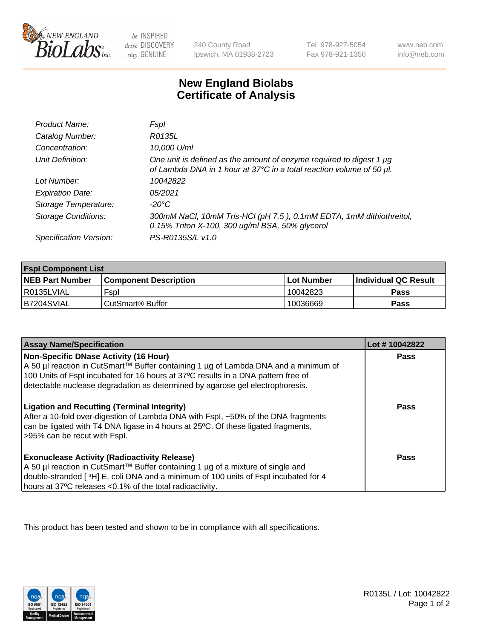

 $be$  INSPIRED drive DISCOVERY stay GENUINE

240 County Road Ipswich, MA 01938-2723 Tel 978-927-5054 Fax 978-921-1350 www.neb.com info@neb.com

## **New England Biolabs Certificate of Analysis**

| Product Name:              | Fspl                                                                                                                                        |
|----------------------------|---------------------------------------------------------------------------------------------------------------------------------------------|
| Catalog Number:            | R0135L                                                                                                                                      |
| Concentration:             | 10,000 U/ml                                                                                                                                 |
| Unit Definition:           | One unit is defined as the amount of enzyme required to digest 1 µg<br>of Lambda DNA in 1 hour at 37°C in a total reaction volume of 50 µl. |
| Lot Number:                | 10042822                                                                                                                                    |
| <b>Expiration Date:</b>    | 05/2021                                                                                                                                     |
| Storage Temperature:       | -20°C                                                                                                                                       |
| <b>Storage Conditions:</b> | 300mM NaCl, 10mM Tris-HCl (pH 7.5), 0.1mM EDTA, 1mM dithiothreitol,<br>0.15% Triton X-100, 300 ug/ml BSA, 50% glycerol                      |
| Specification Version:     | PS-R0135S/L v1.0                                                                                                                            |

| <b>Fspl Component List</b> |                              |              |                             |  |
|----------------------------|------------------------------|--------------|-----------------------------|--|
| <b>NEB Part Number</b>     | <b>Component Description</b> | l Lot Number | <b>Individual QC Result</b> |  |
| I R0135LVIAL               | Fspl                         | 10042823     | <b>Pass</b>                 |  |
| B7204SVIAL                 | l CutSmart® Buffer           | 10036669     | Pass                        |  |

| <b>Assay Name/Specification</b>                                                                                                                                                                                                                                                                           | Lot #10042822 |
|-----------------------------------------------------------------------------------------------------------------------------------------------------------------------------------------------------------------------------------------------------------------------------------------------------------|---------------|
| <b>Non-Specific DNase Activity (16 Hour)</b><br>A 50 µl reaction in CutSmart™ Buffer containing 1 µg of Lambda DNA and a minimum of<br>100 Units of Fspl incubated for 16 hours at 37°C results in a DNA pattern free of<br>detectable nuclease degradation as determined by agarose gel electrophoresis. | <b>Pass</b>   |
| <b>Ligation and Recutting (Terminal Integrity)</b><br>After a 10-fold over-digestion of Lambda DNA with Fspl, ~50% of the DNA fragments<br>can be ligated with T4 DNA ligase in 4 hours at 25°C. Of these ligated fragments,<br>>95% can be recut with Fspl.                                              | Pass          |
| <b>Exonuclease Activity (Radioactivity Release)</b><br>  A 50 µl reaction in CutSmart™ Buffer containing 1 µg of a mixture of single and<br>double-stranded [3H] E. coli DNA and a minimum of 100 units of Fspl incubated for 4<br>hours at 37°C releases <0.1% of the total radioactivity.               | Pass          |

This product has been tested and shown to be in compliance with all specifications.